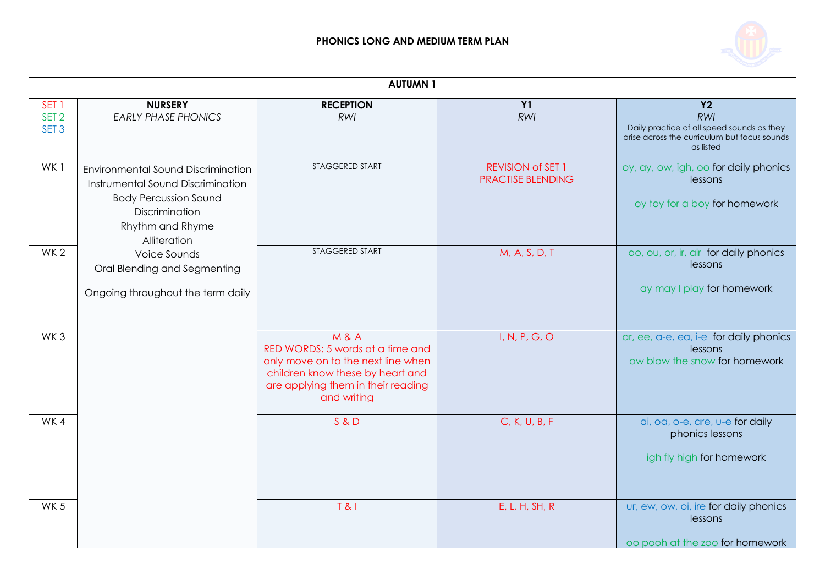

|                                                          | <b>AUTUMN1</b>                                                                                                                                                |                                                                                                                                                                                   |                                                      |                                                                                                                             |  |
|----------------------------------------------------------|---------------------------------------------------------------------------------------------------------------------------------------------------------------|-----------------------------------------------------------------------------------------------------------------------------------------------------------------------------------|------------------------------------------------------|-----------------------------------------------------------------------------------------------------------------------------|--|
| SET <sub>1</sub><br>SET <sub>2</sub><br>SET <sub>3</sub> | <b>NURSERY</b><br><b>EARLY PHASE PHONICS</b>                                                                                                                  | <b>RECEPTION</b><br><b>RWI</b>                                                                                                                                                    | <b>Y1</b><br>RWI                                     | <b>Y2</b><br>RWI<br>Daily practice of all speed sounds as they<br>arise across the curriculum but focus sounds<br>as listed |  |
| WK1                                                      | Environmental Sound Discrimination<br>Instrumental Sound Discrimination<br><b>Body Percussion Sound</b><br>Discrimination<br>Rhythm and Rhyme<br>Alliteration | STAGGERED START                                                                                                                                                                   | <b>REVISION of SET 1</b><br><b>PRACTISE BLENDING</b> | oy, ay, ow, igh, oo for daily phonics<br>lessons<br>oy toy for a boy for homework                                           |  |
| WK <sub>2</sub>                                          | Voice Sounds<br>Oral Blending and Segmenting<br>Ongoing throughout the term daily                                                                             | STAGGERED START                                                                                                                                                                   | M, A, S, D, T                                        | oo, ou, or, ir, air for daily phonics<br>lessons<br>ay may I play for homework                                              |  |
| WK <sub>3</sub>                                          |                                                                                                                                                               | <b>M&amp;A</b><br>RED WORDS: 5 words at a time and<br>only move on to the next line when<br>children know these by heart and<br>are applying them in their reading<br>and writing | I, N, P, G, O                                        | ar, ee, a-e, ea, i-e for daily phonics<br>lessons<br>ow blow the snow for homework                                          |  |
| WK4                                                      |                                                                                                                                                               | S & D                                                                                                                                                                             | C, K, U, B, F                                        | ai, oa, o-e, are, u-e for daily<br>phonics lessons<br>igh fly high for homework                                             |  |
| WK <sub>5</sub>                                          |                                                                                                                                                               | T & 8                                                                                                                                                                             | E, L, H, SH, R                                       | ur, ew, ow, oi, ire for daily phonics<br>lessons<br>oo pooh at the zoo for homework                                         |  |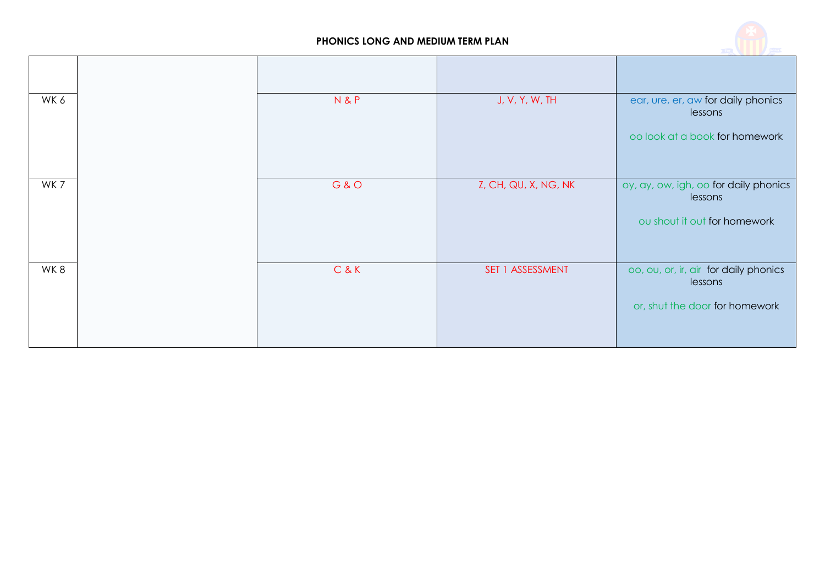

| WK6 | N&P   | J, V, Y, W, TH       | ear, ure, er, aw for daily phonics<br>lessons<br>oo look at a book for homework    |
|-----|-------|----------------------|------------------------------------------------------------------------------------|
|     |       |                      |                                                                                    |
| WK7 | G & O | Z, CH, QU, X, NG, NK | oy, ay, ow, igh, oo for daily phonics<br>lessons<br>ou shout it out for homework   |
| WK8 | C&K   | SET 1 ASSESSMENT     | oo, ou, or, ir, air for daily phonics<br>lessons<br>or, shut the door for homework |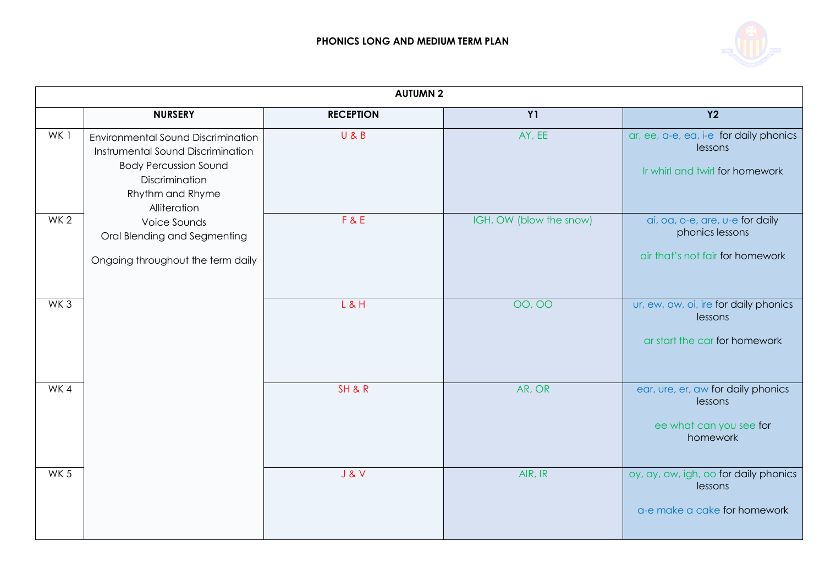

|                 | <b>AUTUMN 2</b>                                                                                                                                                                                                                                           |                  |                         |                                                                                        |  |
|-----------------|-----------------------------------------------------------------------------------------------------------------------------------------------------------------------------------------------------------------------------------------------------------|------------------|-------------------------|----------------------------------------------------------------------------------------|--|
|                 | <b>NURSERY</b>                                                                                                                                                                                                                                            | <b>RECEPTION</b> | <b>Y1</b>               | <b>Y2</b>                                                                              |  |
| WK1             | <b>Environmental Sound Discrimination</b><br>Instrumental Sound Discrimination<br><b>Body Percussion Sound</b><br>Discrimination<br>Rhythm and Rhyme<br>Alliteration<br>Voice Sounds<br>Oral Blending and Segmenting<br>Ongoing throughout the term daily | U & B            | AY, EE                  | ar, ee, a-e, ea, i-e for daily phonics<br>lessons<br>Ir whirl and twirl for homework   |  |
| WK <sub>2</sub> |                                                                                                                                                                                                                                                           | F & E            | IGH, OW (blow the snow) | ai, oa, o-e, are, u-e for daily<br>phonics lessons<br>air that's not fair for homework |  |
| WK <sub>3</sub> |                                                                                                                                                                                                                                                           | $L$ & H          | 00,00                   | ur, ew, ow, oi, ire for daily phonics<br>lessons<br>ar start the car for homework      |  |
| WK4             |                                                                                                                                                                                                                                                           | SH&R             | AR, OR                  | ear, ure, er, aw for daily phonics<br>lessons<br>ee what can you see for<br>homework   |  |
| WK <sub>5</sub> |                                                                                                                                                                                                                                                           | J & V            | AIR, IR                 | oy, ay, ow, igh, oo for daily phonics<br>lessons<br>a-e make a cake for homework       |  |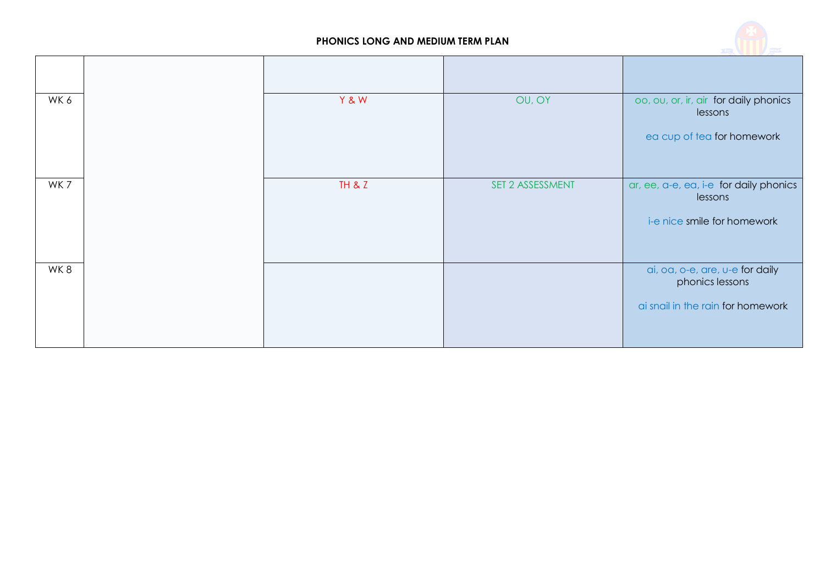

| WK 6 | Y & W  | OU, OY           | oo, ou, or, ir, air for daily phonics<br>lessons<br>ea cup of tea for homework |
|------|--------|------------------|--------------------------------------------------------------------------------|
|      |        |                  |                                                                                |
| WK7  | TH & Z | SET 2 ASSESSMENT | ar, ee, a-e, ea, i-e for daily phonics<br>lessons                              |
|      |        |                  | i-e nice smile for homework                                                    |
| WK8  |        |                  | ai, oa, o-e, are, u-e for daily<br>phonics lessons                             |
|      |        |                  | ai snail in the rain for homework                                              |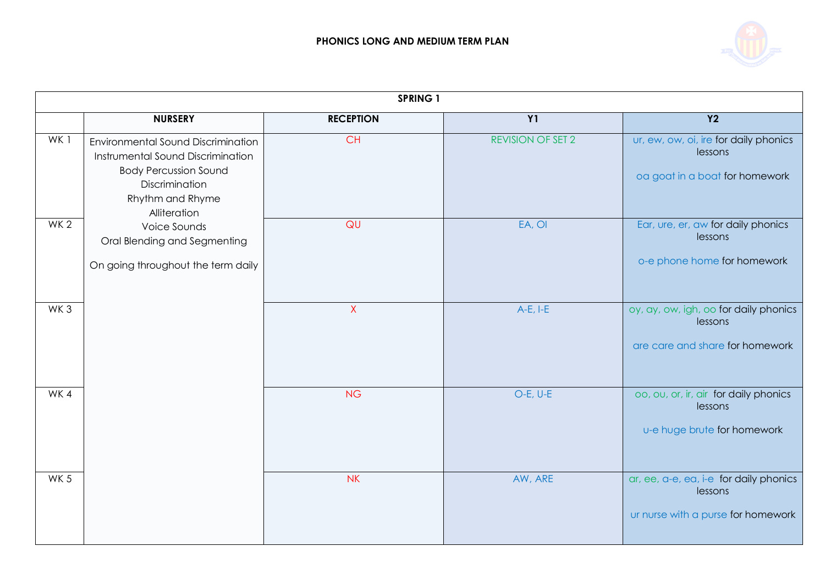

|                 |                                                                                                                                                                                                                                                            | <b>SPRING 1</b>  |                          |                                                                                         |
|-----------------|------------------------------------------------------------------------------------------------------------------------------------------------------------------------------------------------------------------------------------------------------------|------------------|--------------------------|-----------------------------------------------------------------------------------------|
|                 | <b>NURSERY</b>                                                                                                                                                                                                                                             | <b>RECEPTION</b> | <b>Y1</b>                | <b>Y2</b>                                                                               |
| WK1             | <b>Environmental Sound Discrimination</b><br>Instrumental Sound Discrimination<br><b>Body Percussion Sound</b><br>Discrimination<br>Rhythm and Rhyme<br>Alliteration<br>Voice Sounds<br>Oral Blending and Segmenting<br>On going throughout the term daily | <b>CH</b>        | <b>REVISION OF SET 2</b> | ur, ew, ow, oi, ire for daily phonics<br>lessons<br>oa goat in a boat for homework      |
| WK <sub>2</sub> |                                                                                                                                                                                                                                                            | QU               | EA, OI                   | Ear, ure, er, aw for daily phonics<br>lessons<br>o-e phone home for homework            |
| WK <sub>3</sub> |                                                                                                                                                                                                                                                            | $\mathsf{X}$     | $A-E, I-E$               | oy, ay, ow, igh, oo for daily phonics<br>lessons<br>are care and share for homework     |
| WK4             |                                                                                                                                                                                                                                                            | <b>NG</b>        | $O-E, U-E$               | oo, ou, or, ir, air for daily phonics<br>lessons<br>u-e huge brute for homework         |
| WK <sub>5</sub> |                                                                                                                                                                                                                                                            | <b>NK</b>        | AW, ARE                  | ar, ee, a-e, ea, i-e for daily phonics<br>lessons<br>ur nurse with a purse for homework |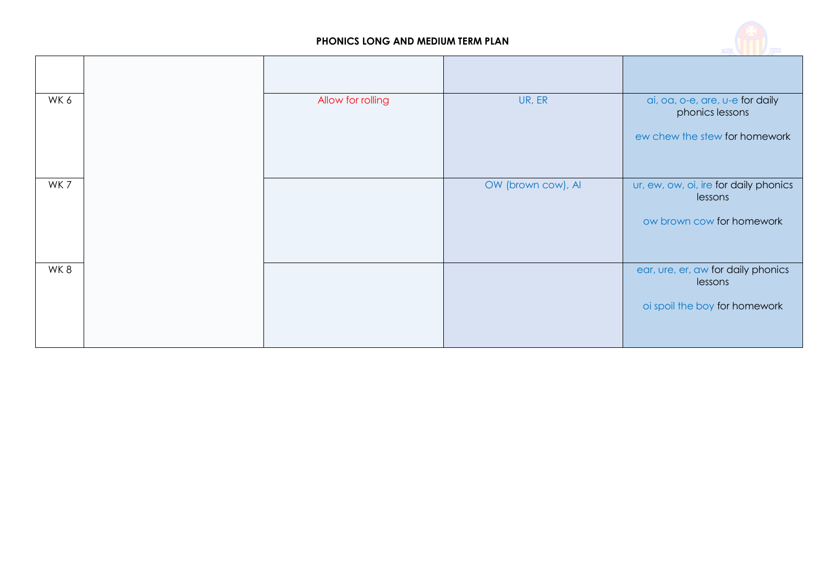

| WK 6 | Allow for rolling | UR, ER             | ai, oa, o-e, are, u-e for daily<br>phonics lessons |
|------|-------------------|--------------------|----------------------------------------------------|
|      |                   |                    | ew chew the stew for homework                      |
| WK7  |                   | OW (brown cow), AI | ur, ew, ow, oi, ire for daily phonics<br>lessons   |
|      |                   |                    | ow brown cow for homework                          |
| WK8  |                   |                    | ear, ure, er, aw for daily phonics<br>lessons      |
|      |                   |                    | oi spoil the boy for homework                      |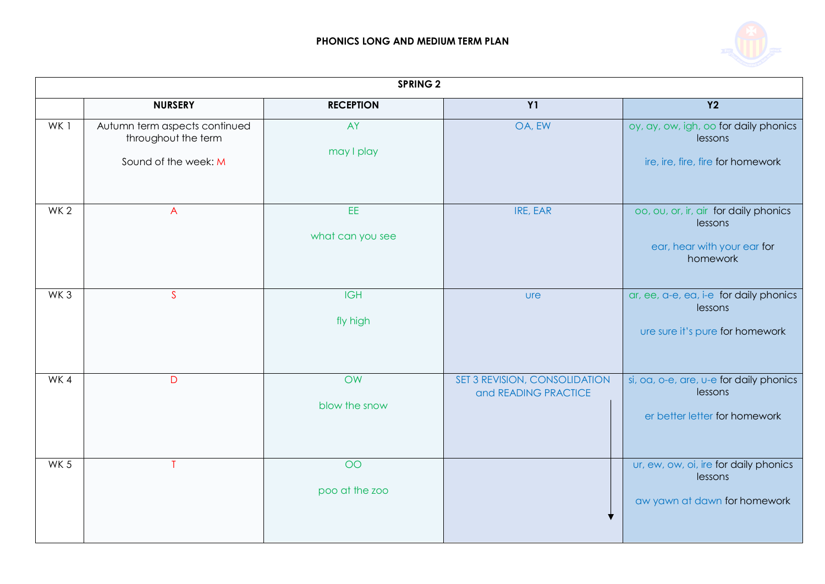

|                 |                                                                              | <b>SPRING 2</b>         |                                                       |                                                                                             |
|-----------------|------------------------------------------------------------------------------|-------------------------|-------------------------------------------------------|---------------------------------------------------------------------------------------------|
|                 | <b>NURSERY</b>                                                               | <b>RECEPTION</b>        | <b>Y1</b>                                             | $\overline{Y2}$                                                                             |
| WK 1            | Autumn term aspects continued<br>throughout the term<br>Sound of the week: M | AY<br>may I play        | OA, EW                                                | oy, ay, ow, igh, oo for daily phonics<br>lessons<br>ire, ire, fire, fire for homework       |
| WK <sub>2</sub> | $\overline{A}$                                                               | EE.<br>what can you see | IRE, EAR                                              | oo, ou, or, ir, air for daily phonics<br>lessons<br>ear, hear with your ear for<br>homework |
| WK <sub>3</sub> | $\mathsf{S}$                                                                 | <b>IGH</b><br>fly high  | <b>ure</b>                                            | ar, ee, a-e, ea, i-e for daily phonics<br>lessons<br>ure sure it's pure for homework        |
| WK4             | D                                                                            | OW<br>blow the snow     | SET 3 REVISION, CONSOLIDATION<br>and READING PRACTICE | si, oa, o-e, are, u-e for daily phonics<br>lessons<br>er better letter for homework         |
| WK <sub>5</sub> |                                                                              | OO<br>poo at the zoo    |                                                       | ur, ew, ow, oi, ire for daily phonics<br>lessons<br>aw yawn at dawn for homework            |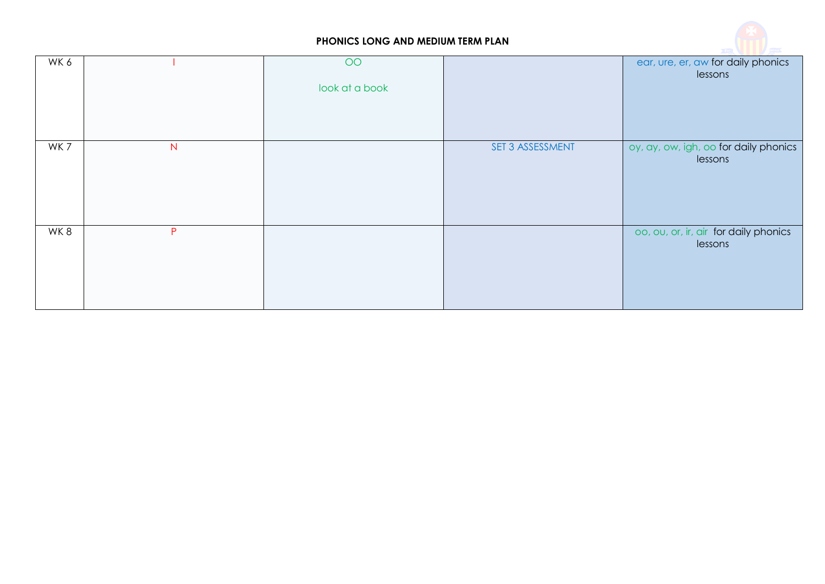

| WK 6 |                | OO<br>look at a book |                  | ear, ure, er, aw for daily phonics<br>lessons    |
|------|----------------|----------------------|------------------|--------------------------------------------------|
| WK7  | $\overline{N}$ |                      | SET 3 ASSESSMENT | oy, ay, ow, igh, oo for daily phonics<br>lessons |
| WK8  | P              |                      |                  | oo, ou, or, ir, air for daily phonics<br>lessons |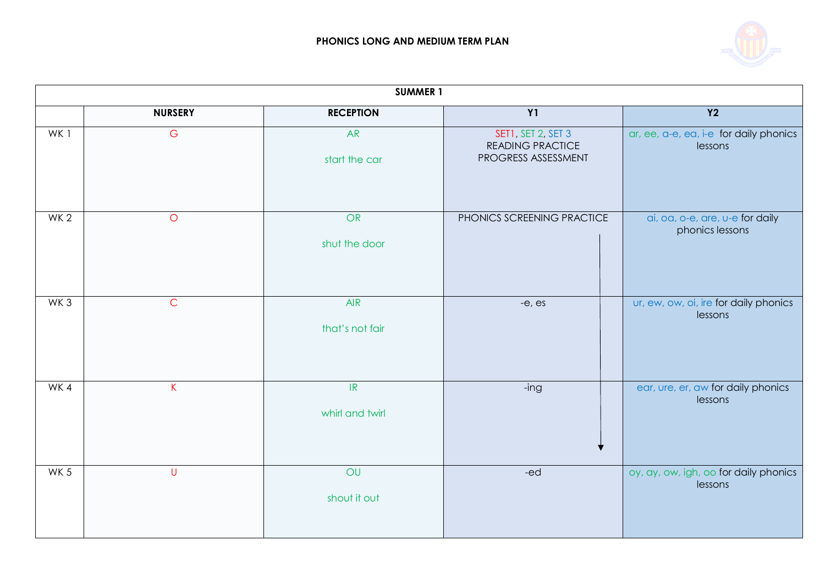

|                 | <b>SUMMER 1</b> |                                                      |                                                                      |                                                    |  |
|-----------------|-----------------|------------------------------------------------------|----------------------------------------------------------------------|----------------------------------------------------|--|
|                 | <b>NURSERY</b>  | <b>RECEPTION</b>                                     | Y1                                                                   | Y2                                                 |  |
| WK1             | G               | <b>AR</b><br>start the car                           | SET1, SET 2, SET 3<br><b>READING PRACTICE</b><br>PROGRESS ASSESSMENT | ar, ee, a-e, ea, i-e for daily phonics<br>lessons  |  |
| WK <sub>2</sub> | $\circ$         | <b>OR</b><br>shut the door                           | PHONICS SCREENING PRACTICE                                           | ai, oa, o-e, are, u-e for daily<br>phonics lessons |  |
| WK <sub>3</sub> | $\mathsf{C}$    | <b>AIR</b><br>that's not fair                        | $-e$ , $es$                                                          | ur, ew, ow, oi, ire for daily phonics<br>lessons   |  |
| WK4             | K               | $\ensuremath{\mathsf{IR}}\xspace$<br>whirl and twirl | -ing                                                                 | ear, ure, er, aw for daily phonics<br>lessons      |  |
| WK <sub>5</sub> | $\cup$          | OU<br>shout it out                                   | -ed                                                                  | oy, ay, ow, igh, oo for daily phonics<br>lessons   |  |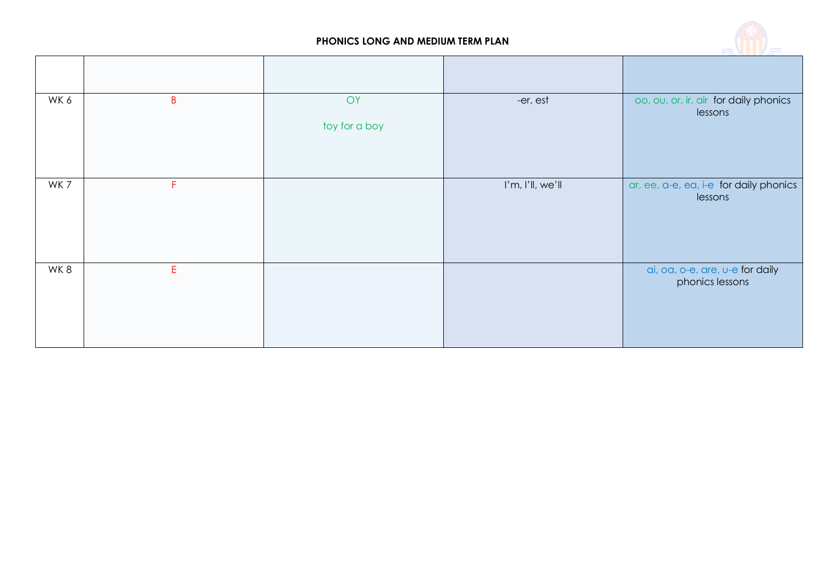

| WK6 | $\sf B$ | OY<br>toy for a boy | -er, est         | oo, ou, or, ir, air for daily phonics<br>lessons   |
|-----|---------|---------------------|------------------|----------------------------------------------------|
| WK7 | F.      |                     | I'm, I'll, we'll | ar, ee, a-e, ea, i-e for daily phonics<br>lessons  |
| WK8 | E       |                     |                  | ai, oa, o-e, are, u-e for daily<br>phonics lessons |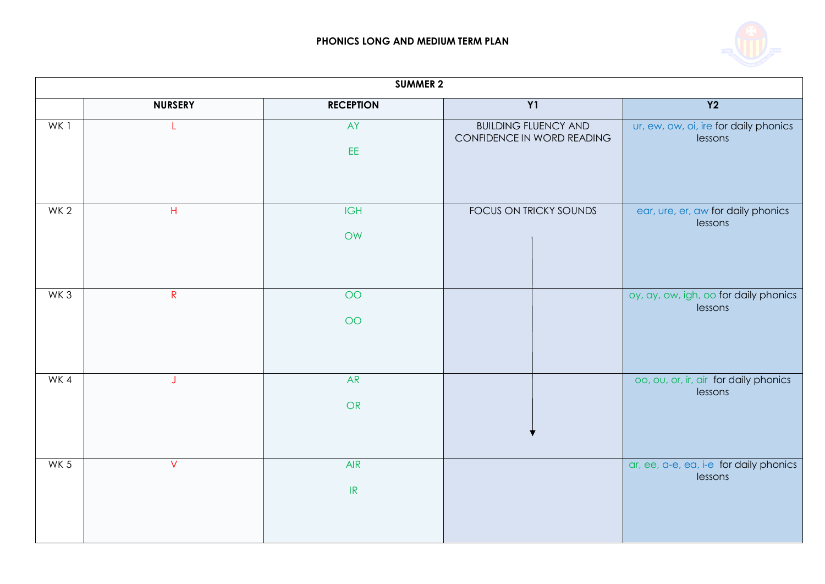

|                 | <b>SUMMER 2</b> |                                                 |                                                           |                                                   |  |
|-----------------|-----------------|-------------------------------------------------|-----------------------------------------------------------|---------------------------------------------------|--|
|                 | <b>NURSERY</b>  | <b>RECEPTION</b>                                | Y1                                                        | Y2                                                |  |
| WK 1            | L               | AY                                              | <b>BUILDING FLUENCY AND</b><br>CONFIDENCE IN WORD READING | ur, ew, ow, oi, ire for daily phonics<br>lessons  |  |
|                 |                 | EE.                                             |                                                           |                                                   |  |
| WK <sub>2</sub> | $\mathsf H$     | <b>IGH</b><br>OW                                | FOCUS ON TRICKY SOUNDS                                    | ear, ure, er, aw for daily phonics<br>lessons     |  |
|                 |                 |                                                 |                                                           |                                                   |  |
| WK <sub>3</sub> | $\mathsf{R}$    | $\overline{O}O$                                 |                                                           | oy, ay, ow, igh, oo for daily phonics<br>lessons  |  |
|                 |                 | $\overline{O}O$                                 |                                                           |                                                   |  |
| WK4             | J               | <b>AR</b>                                       |                                                           | oo, ou, or, ir, air for daily phonics<br>lessons  |  |
|                 |                 | OR                                              |                                                           |                                                   |  |
| WK <sub>5</sub> | V               | <b>AIR</b><br>$\ensuremath{\mathsf{IR}}\xspace$ |                                                           | ar, ee, a-e, ea, i-e for daily phonics<br>lessons |  |
|                 |                 |                                                 |                                                           |                                                   |  |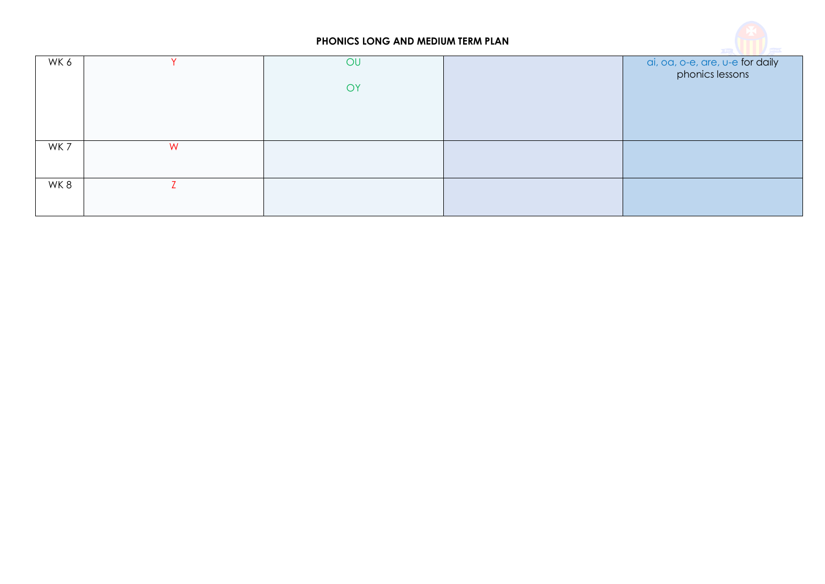

| WK 6 |   | OU<br>OY | ai, oa, o-e, are, u-e for daily<br>phonics lessons |
|------|---|----------|----------------------------------------------------|
|      |   |          |                                                    |
| WK 7 | W |          |                                                    |
| WK8  |   |          |                                                    |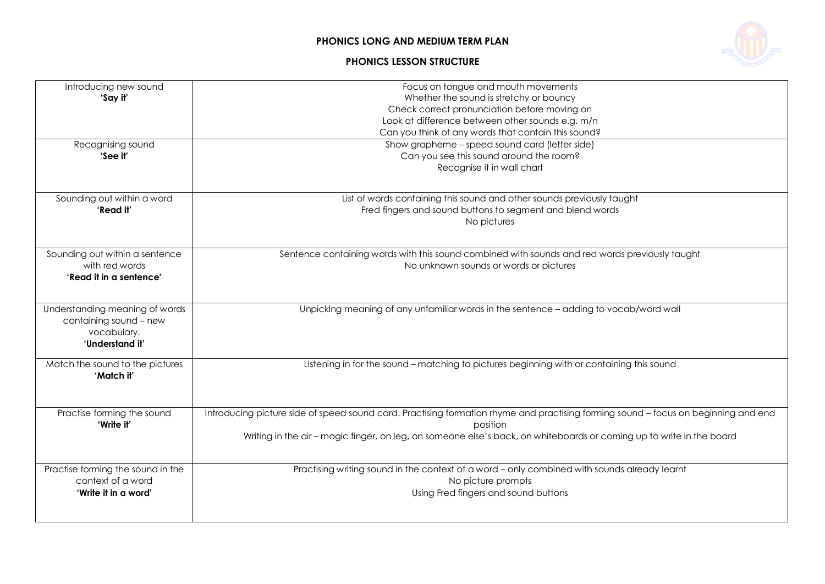#### **PHONICS LESSON STRUCTURE**



| Introducing new sound<br>'Say it'<br>Recognising sound<br>'See it'                         | Focus on tongue and mouth movements<br>Whether the sound is stretchy or bouncy<br>Check correct pronunciation before moving on<br>Look at difference between other sounds e.g. m/n<br>Can you think of any words that contain this sound?<br>Show grapheme - speed sound card (letter side)<br>Can you see this sound around the room?<br>Recognise it in wall chart |
|--------------------------------------------------------------------------------------------|----------------------------------------------------------------------------------------------------------------------------------------------------------------------------------------------------------------------------------------------------------------------------------------------------------------------------------------------------------------------|
| Sounding out within a word<br>'Read it'                                                    | List of words containing this sound and other sounds previously taught<br>Fred fingers and sound buttons to segment and blend words<br>No pictures                                                                                                                                                                                                                   |
| Sounding out within a sentence<br>with red words<br>'Read it in a sentence'                | Sentence containing words with this sound combined with sounds and red words previously taught<br>No unknown sounds or words or pictures                                                                                                                                                                                                                             |
| Understanding meaning of words<br>containing sound - new<br>vocabulary.<br>'Understand it' | Unpicking meaning of any unfamiliar words in the sentence - adding to vocab/word wall                                                                                                                                                                                                                                                                                |
| Match the sound to the pictures<br>'Match it'                                              | Listening in for the sound – matching to pictures beginning with or containing this sound                                                                                                                                                                                                                                                                            |
| Practise forming the sound<br>'Write it'                                                   | Introducing picture side of speed sound card. Practising formation rhyme and practising forming sound - focus on beginning and end<br>position<br>Writing in the air - magic finger, on leg, on someone else's back, on whiteboards or coming up to write in the board                                                                                               |
| Practise forming the sound in the<br>context of a word<br>'Write it in a word'             | Practising writing sound in the context of a word - only combined with sounds already learnt<br>No picture prompts<br>Using Fred fingers and sound buttons                                                                                                                                                                                                           |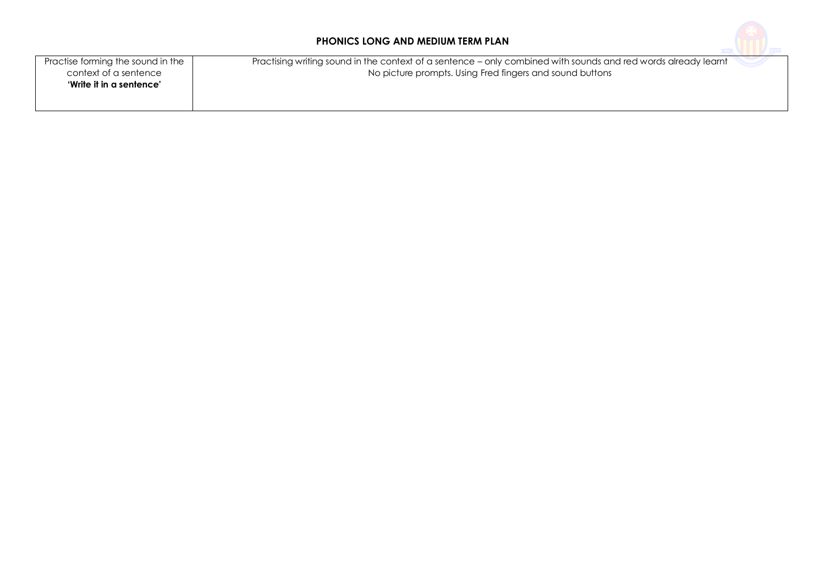

| Practise forming the sound in the | Practising writing sound in the context of a sentence – only combined with sounds and red words already learnt |
|-----------------------------------|----------------------------------------------------------------------------------------------------------------|
| context of a sentence             | No picture prompts. Using Fred fingers and sound buttons                                                       |
| 'Write it in a sentence'          |                                                                                                                |
|                                   |                                                                                                                |
|                                   |                                                                                                                |